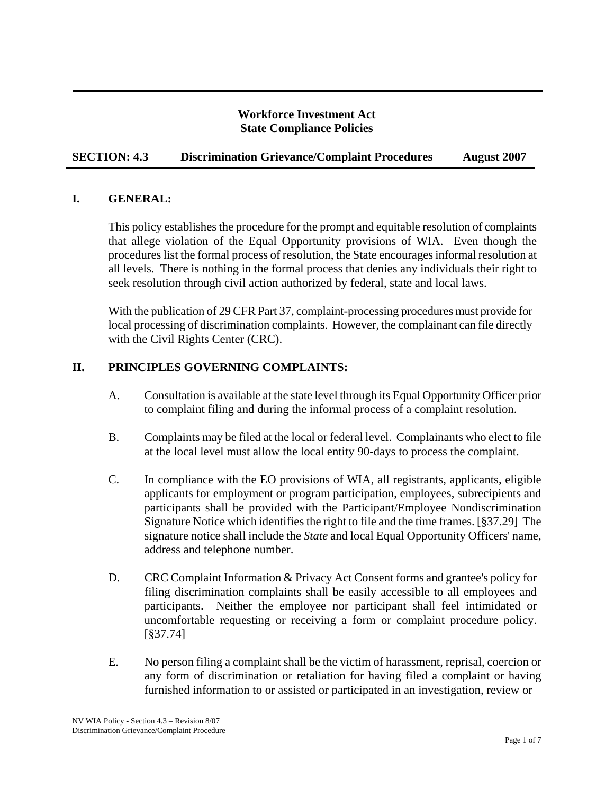### **Workforce Investment Act State Compliance Policies**

## **SECTION: 4.3 Discrimination Grievance/Complaint Procedures August 2007**

### **I. GENERAL:**

This policy establishes the procedure for the prompt and equitable resolution of complaints that allege violation of the Equal Opportunity provisions of WIA. Even though the procedures list the formal process of resolution, the State encourages informal resolution at all levels. There is nothing in the formal process that denies any individuals their right to seek resolution through civil action authorized by federal, state and local laws.

With the publication of 29 CFR Part 37, complaint-processing procedures must provide for local processing of discrimination complaints. However, the complainant can file directly with the Civil Rights Center (CRC).

### **II. PRINCIPLES GOVERNING COMPLAINTS:**

- A. Consultation is available at the state level through its Equal Opportunity Officer prior to complaint filing and during the informal process of a complaint resolution.
- B. Complaints may be filed at the local or federal level. Complainants who elect to file at the local level must allow the local entity 90-days to process the complaint.
- C. In compliance with the EO provisions of WIA, all registrants, applicants, eligible applicants for employment or program participation, employees, subrecipients and participants shall be provided with the Participant/Employee Nondiscrimination Signature Notice which identifies the right to file and the time frames. [§37.29] The signature notice shall include the *State* and local Equal Opportunity Officers' name, address and telephone number.
- D. CRC Complaint Information & Privacy Act Consent forms and grantee's policy for filing discrimination complaints shall be easily accessible to all employees and participants. Neither the employee nor participant shall feel intimidated or uncomfortable requesting or receiving a form or complaint procedure policy. [§37.74]
- E. No person filing a complaint shall be the victim of harassment, reprisal, coercion or any form of discrimination or retaliation for having filed a complaint or having furnished information to or assisted or participated in an investigation, review or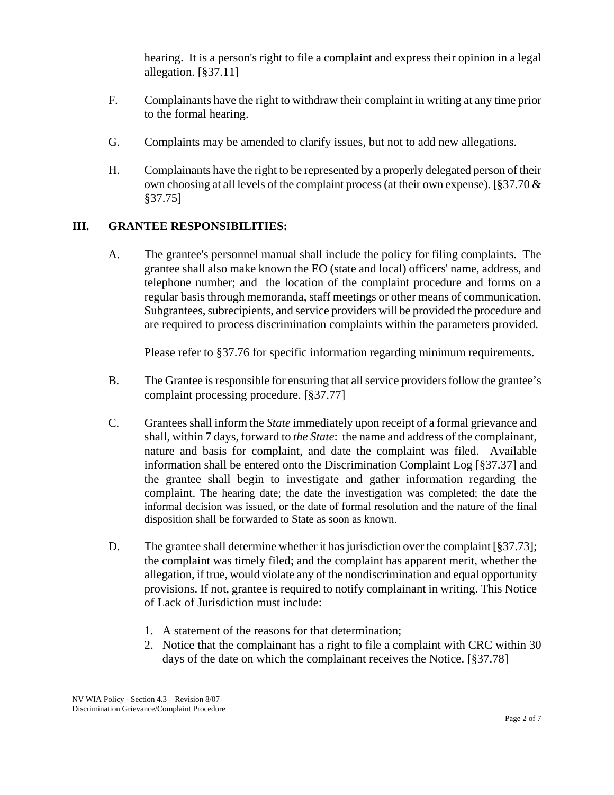hearing. It is a person's right to file a complaint and express their opinion in a legal allegation. [§37.11]

- F. Complainants have the right to withdraw their complaint in writing at any time prior to the formal hearing.
- G. Complaints may be amended to clarify issues, but not to add new allegations.
- H. Complainants have the right to be represented by a properly delegated person of their own choosing at all levels of the complaint process (at their own expense). [§37.70 & §37.75]

## **III. GRANTEE RESPONSIBILITIES:**

A. The grantee's personnel manual shall include the policy for filing complaints. The grantee shall also make known the EO (state and local) officers' name, address, and telephone number; and the location of the complaint procedure and forms on a regular basis through memoranda, staff meetings or other means of communication. Subgrantees, subrecipients, and service providers will be provided the procedure and are required to process discrimination complaints within the parameters provided.

Please refer to §37.76 for specific information regarding minimum requirements.

- B. The Grantee is responsible for ensuring that all service providers follow the grantee's complaint processing procedure. [§37.77]
- C. Grantees shall inform the *State* immediately upon receipt of a formal grievance and shall, within 7 days, forward to *the State*: the name and address of the complainant, nature and basis for complaint, and date the complaint was filed. Available information shall be entered onto the Discrimination Complaint Log [§37.37] and the grantee shall begin to investigate and gather information regarding the complaint. The hearing date; the date the investigation was completed; the date the informal decision was issued, or the date of formal resolution and the nature of the final disposition shall be forwarded to State as soon as known.
- D. The grantee shall determine whether it has jurisdiction over the complaint [§37.73]; the complaint was timely filed; and the complaint has apparent merit, whether the allegation, if true, would violate any of the nondiscrimination and equal opportunity provisions. If not, grantee is required to notify complainant in writing. This Notice of Lack of Jurisdiction must include:
	- 1. A statement of the reasons for that determination;
	- 2. Notice that the complainant has a right to file a complaint with CRC within 30 days of the date on which the complainant receives the Notice. [§37.78]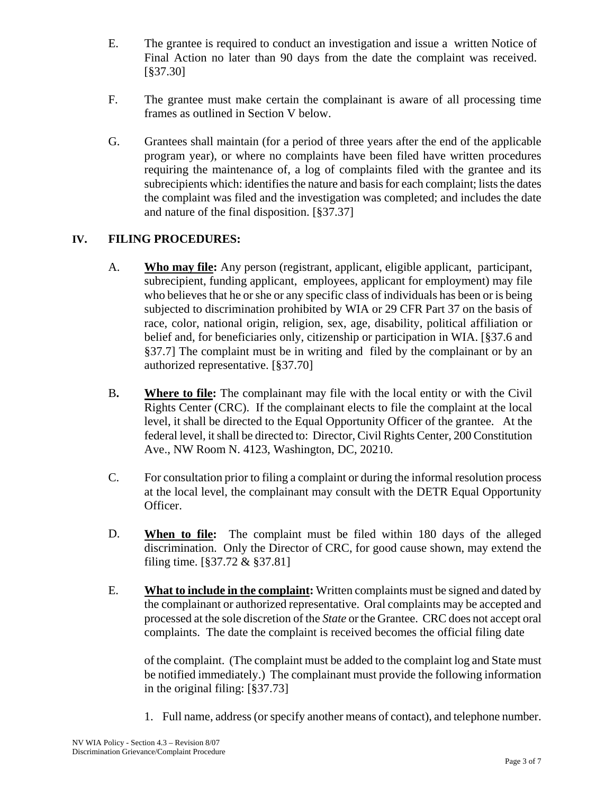- E. The grantee is required to conduct an investigation and issue a written Notice of Final Action no later than 90 days from the date the complaint was received. [§37.30]
- F. The grantee must make certain the complainant is aware of all processing time frames as outlined in Section V below.
- G. Grantees shall maintain (for a period of three years after the end of the applicable program year), or where no complaints have been filed have written procedures requiring the maintenance of, a log of complaints filed with the grantee and its subrecipients which: identifies the nature and basis for each complaint; lists the dates the complaint was filed and the investigation was completed; and includes the date and nature of the final disposition. [§37.37]

### **IV. FILING PROCEDURES:**

- A. **Who may file:** Any person (registrant, applicant, eligible applicant, participant, subrecipient, funding applicant, employees, applicant for employment) may file who believes that he or she or any specific class of individuals has been or is being subjected to discrimination prohibited by WIA or 29 CFR Part 37 on the basis of race, color, national origin, religion, sex, age, disability, political affiliation or belief and, for beneficiaries only, citizenship or participation in WIA. [§37.6 and §37.7] The complaint must be in writing and filed by the complainant or by an authorized representative. [§37.70]
- B**. Where to file:** The complainant may file with the local entity or with the Civil Rights Center (CRC). If the complainant elects to file the complaint at the local level, it shall be directed to the Equal Opportunity Officer of the grantee. At the federal level, it shall be directed to: Director, Civil Rights Center, 200 Constitution Ave., NW Room N. 4123, Washington, DC, 20210.
- C. For consultation prior to filing a complaint or during the informal resolution process at the local level, the complainant may consult with the DETR Equal Opportunity Officer.
- D. **When to file:** The complaint must be filed within 180 days of the alleged discrimination. Only the Director of CRC, for good cause shown, may extend the filing time. [§37.72 & §37.81]
- E. **What to include in the complaint:** Written complaints must be signed and dated by the complainant or authorized representative. Oral complaints may be accepted and processed at the sole discretion of the *State* or the Grantee. CRC does not accept oral complaints. The date the complaint is received becomes the official filing date

of the complaint. (The complaint must be added to the complaint log and State must be notified immediately.) The complainant must provide the following information in the original filing: [§37.73]

1. Full name, address (or specify another means of contact), and telephone number.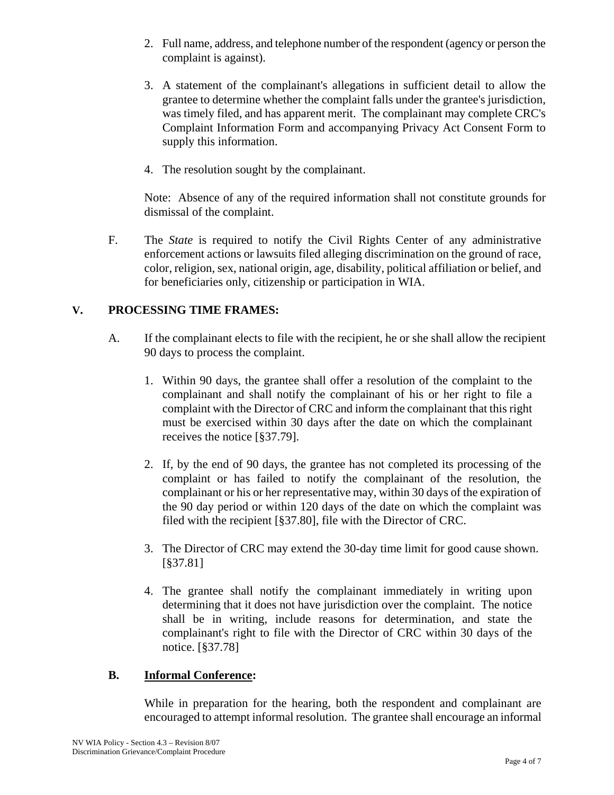- 2. Full name, address, and telephone number of the respondent (agency or person the complaint is against).
- 3. A statement of the complainant's allegations in sufficient detail to allow the grantee to determine whether the complaint falls under the grantee's jurisdiction, was timely filed, and has apparent merit. The complainant may complete CRC's Complaint Information Form and accompanying Privacy Act Consent Form to supply this information.
- 4. The resolution sought by the complainant.

Note: Absence of any of the required information shall not constitute grounds for dismissal of the complaint.

F. The *State* is required to notify the Civil Rights Center of any administrative enforcement actions or lawsuits filed alleging discrimination on the ground of race, color, religion, sex, national origin, age, disability, political affiliation or belief, and for beneficiaries only, citizenship or participation in WIA.

## **V. PROCESSING TIME FRAMES:**

- A. If the complainant elects to file with the recipient, he or she shall allow the recipient 90 days to process the complaint.
	- 1. Within 90 days, the grantee shall offer a resolution of the complaint to the complainant and shall notify the complainant of his or her right to file a complaint with the Director of CRC and inform the complainant that this right must be exercised within 30 days after the date on which the complainant receives the notice [§37.79].
	- 2. If, by the end of 90 days, the grantee has not completed its processing of the complaint or has failed to notify the complainant of the resolution, the complainant or his or her representative may, within 30 days of the expiration of the 90 day period or within 120 days of the date on which the complaint was filed with the recipient [§37.80], file with the Director of CRC.
	- 3. The Director of CRC may extend the 30-day time limit for good cause shown. [§37.81]
	- 4. The grantee shall notify the complainant immediately in writing upon determining that it does not have jurisdiction over the complaint. The notice shall be in writing, include reasons for determination, and state the complainant's right to file with the Director of CRC within 30 days of the notice. [§37.78]

#### **B. Informal Conference:**

While in preparation for the hearing, both the respondent and complainant are encouraged to attempt informal resolution. The grantee shall encourage an informal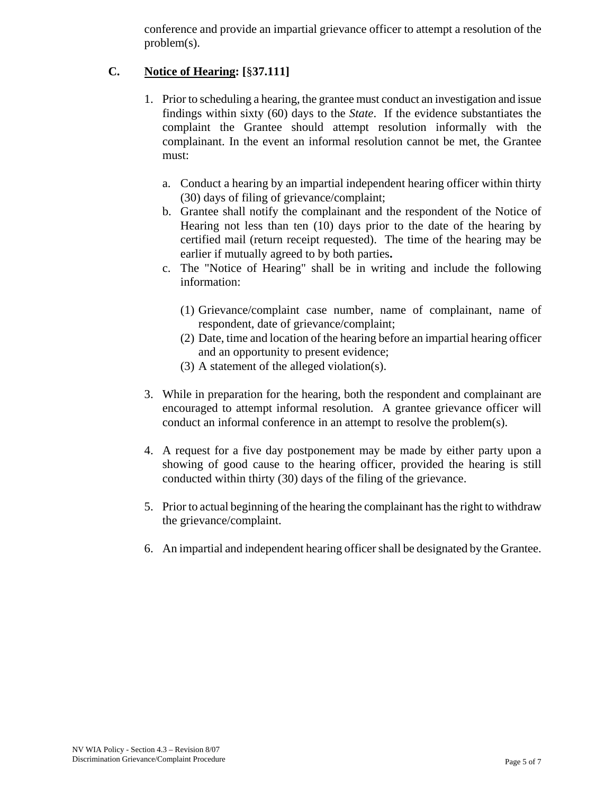conference and provide an impartial grievance officer to attempt a resolution of the problem(s).

# **C. Notice of Hearing: [**§**37.111]**

- 1. Prior to scheduling a hearing, the grantee must conduct an investigation and issue findings within sixty (60) days to the *State*. If the evidence substantiates the complaint the Grantee should attempt resolution informally with the complainant. In the event an informal resolution cannot be met, the Grantee must:
	- a. Conduct a hearing by an impartial independent hearing officer within thirty (30) days of filing of grievance/complaint;
	- b. Grantee shall notify the complainant and the respondent of the Notice of Hearing not less than ten (10) days prior to the date of the hearing by certified mail (return receipt requested). The time of the hearing may be earlier if mutually agreed to by both parties**.**
	- c. The "Notice of Hearing" shall be in writing and include the following information:
		- (1) Grievance/complaint case number, name of complainant, name of respondent, date of grievance/complaint;
		- (2) Date, time and location of the hearing before an impartial hearing officer and an opportunity to present evidence;
		- (3) A statement of the alleged violation(s).
- 3. While in preparation for the hearing, both the respondent and complainant are encouraged to attempt informal resolution. A grantee grievance officer will conduct an informal conference in an attempt to resolve the problem(s).
- 4. A request for a five day postponement may be made by either party upon a showing of good cause to the hearing officer, provided the hearing is still conducted within thirty (30) days of the filing of the grievance.
- 5. Prior to actual beginning of the hearing the complainant has the right to withdraw the grievance/complaint.
- 6. An impartial and independent hearing officer shall be designated by the Grantee.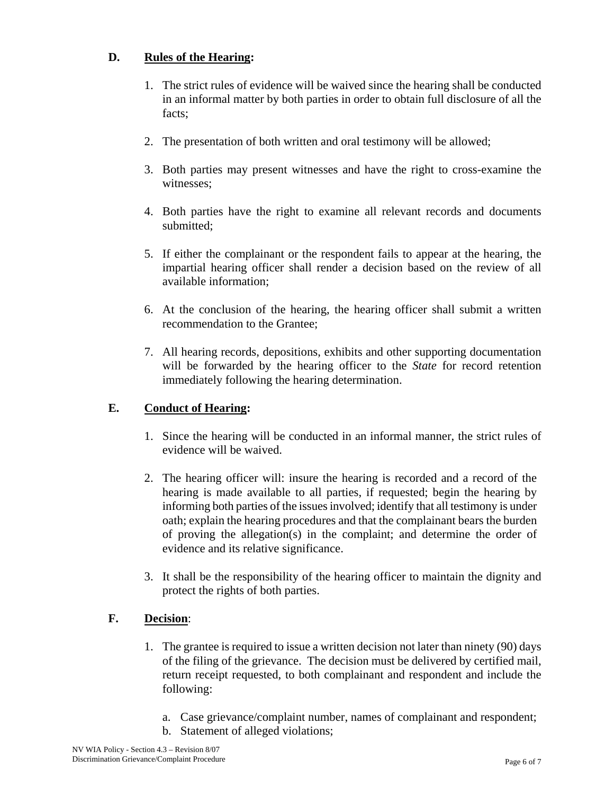## **D. Rules of the Hearing:**

- 1. The strict rules of evidence will be waived since the hearing shall be conducted in an informal matter by both parties in order to obtain full disclosure of all the facts;
- 2. The presentation of both written and oral testimony will be allowed;
- 3. Both parties may present witnesses and have the right to cross-examine the witnesses;
- 4. Both parties have the right to examine all relevant records and documents submitted;
- 5. If either the complainant or the respondent fails to appear at the hearing, the impartial hearing officer shall render a decision based on the review of all available information;
- 6. At the conclusion of the hearing, the hearing officer shall submit a written recommendation to the Grantee;
- 7. All hearing records, depositions, exhibits and other supporting documentation will be forwarded by the hearing officer to the *State* for record retention immediately following the hearing determination.

# **E. Conduct of Hearing:**

- 1. Since the hearing will be conducted in an informal manner, the strict rules of evidence will be waived.
- 2. The hearing officer will: insure the hearing is recorded and a record of the hearing is made available to all parties, if requested; begin the hearing by informing both parties of the issues involved; identify that all testimony is under oath; explain the hearing procedures and that the complainant bears the burden of proving the allegation(s) in the complaint; and determine the order of evidence and its relative significance.
- 3. It shall be the responsibility of the hearing officer to maintain the dignity and protect the rights of both parties.

# **F. Decision**:

- 1. The grantee is required to issue a written decision not later than ninety (90) days of the filing of the grievance. The decision must be delivered by certified mail, return receipt requested, to both complainant and respondent and include the following:
	- a. Case grievance/complaint number, names of complainant and respondent;
	- b. Statement of alleged violations;